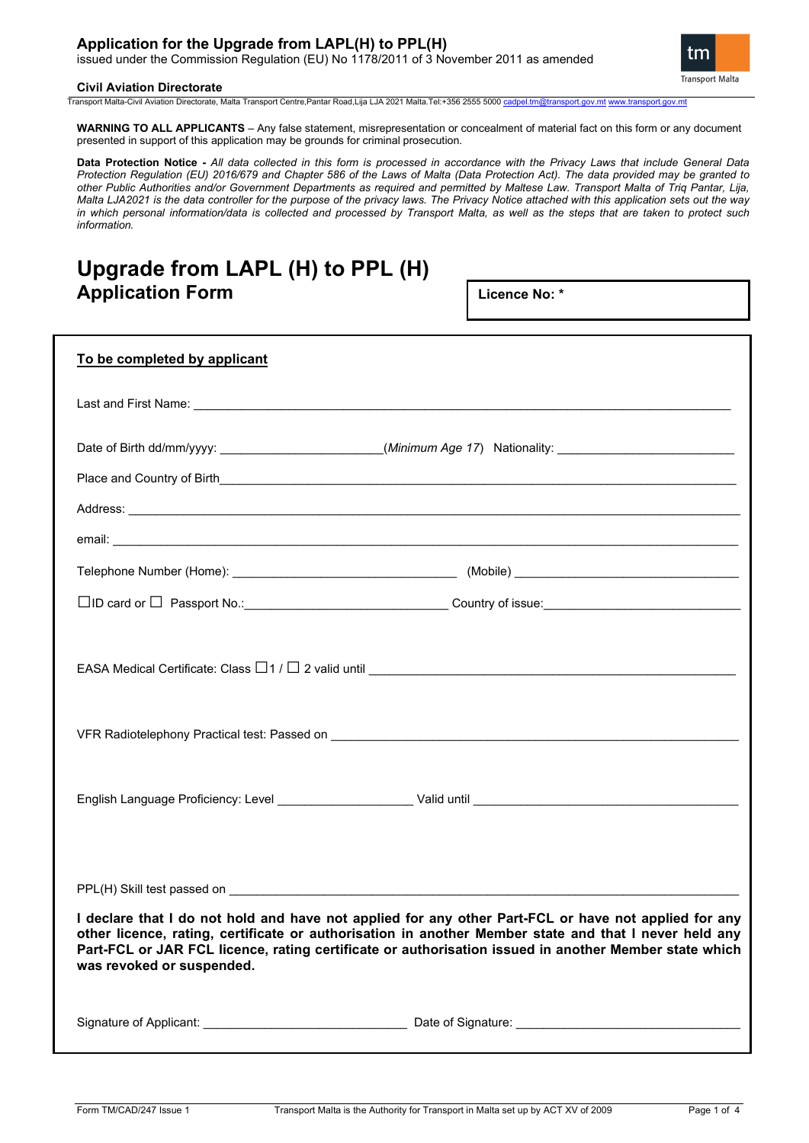## **Application for the Upgrade from LAPL(H) to PPL(H)**

issued under the Commission Regulation (EU) No 1178/2011 of 3 November 2011 as amended

#### **Civil Aviation Directorate**

tm **Transport Malta** 

Transport Malta-Civil Aviation Directorate, Malta Transport Centre,Pantar Road,Lija LJA 2021 Malta.Tel:+356 2555 5000 ca

**WARNING TO ALL APPLICANTS** – Any false statement, misrepresentation or concealment of material fact on this form or any document presented in support of this application may be grounds for criminal prosecution.

**Data Protection Notice -** *All data collected in this form is processed in accordance with the Privacy Laws that include General Data Protection Regulation (EU) 2016/679 and Chapter 586 of the Laws of Malta (Data Protection Act). The data provided may be granted to other Public Authorities and/or Government Departments as required and permitted by Maltese Law. Transport Malta of Triq Pantar, Lija, Malta LJA2021 is the data controller for the purpose of the privacy laws. The Privacy Notice attached with this application sets out the way in which personal information/data is collected and processed by Transport Malta, as well as the steps that are taken to protect such information.*

## **Upgrade from LAPL (H) to PPL (H) Application Form**

**Licence No: \***

| To be completed by applicant                                                                                                                                                                                                       |                                                                                                                                                                                                                                                                                                                        |
|------------------------------------------------------------------------------------------------------------------------------------------------------------------------------------------------------------------------------------|------------------------------------------------------------------------------------------------------------------------------------------------------------------------------------------------------------------------------------------------------------------------------------------------------------------------|
| Last and First Name: <u>Contract Communications</u> and Contract Contract Contract Contract Contract Contract Contract Contract Contract Contract Contract Contract Contract Contract Contract Contract Contract Contract Contract |                                                                                                                                                                                                                                                                                                                        |
|                                                                                                                                                                                                                                    | Date of Birth dd/mm/yyyy: ________________________(Minimum Age 17) Nationality: __________________________                                                                                                                                                                                                             |
|                                                                                                                                                                                                                                    |                                                                                                                                                                                                                                                                                                                        |
|                                                                                                                                                                                                                                    |                                                                                                                                                                                                                                                                                                                        |
|                                                                                                                                                                                                                                    |                                                                                                                                                                                                                                                                                                                        |
|                                                                                                                                                                                                                                    |                                                                                                                                                                                                                                                                                                                        |
|                                                                                                                                                                                                                                    | □ID card or □ Passport No.: __________________________________Country of issue:__________________________                                                                                                                                                                                                              |
|                                                                                                                                                                                                                                    | EASA Medical Certificate: Class $\Box$ 1 / $\Box$ 2 valid until $\_\_$                                                                                                                                                                                                                                                 |
|                                                                                                                                                                                                                                    |                                                                                                                                                                                                                                                                                                                        |
|                                                                                                                                                                                                                                    |                                                                                                                                                                                                                                                                                                                        |
| PPL(H) Skill test passed on <b>EXAMPLE 2006</b>                                                                                                                                                                                    |                                                                                                                                                                                                                                                                                                                        |
| was revoked or suspended.                                                                                                                                                                                                          | I declare that I do not hold and have not applied for any other Part-FCL or have not applied for any<br>other licence, rating, certificate or authorisation in another Member state and that I never held any<br>Part-FCL or JAR FCL licence, rating certificate or authorisation issued in another Member state which |
|                                                                                                                                                                                                                                    |                                                                                                                                                                                                                                                                                                                        |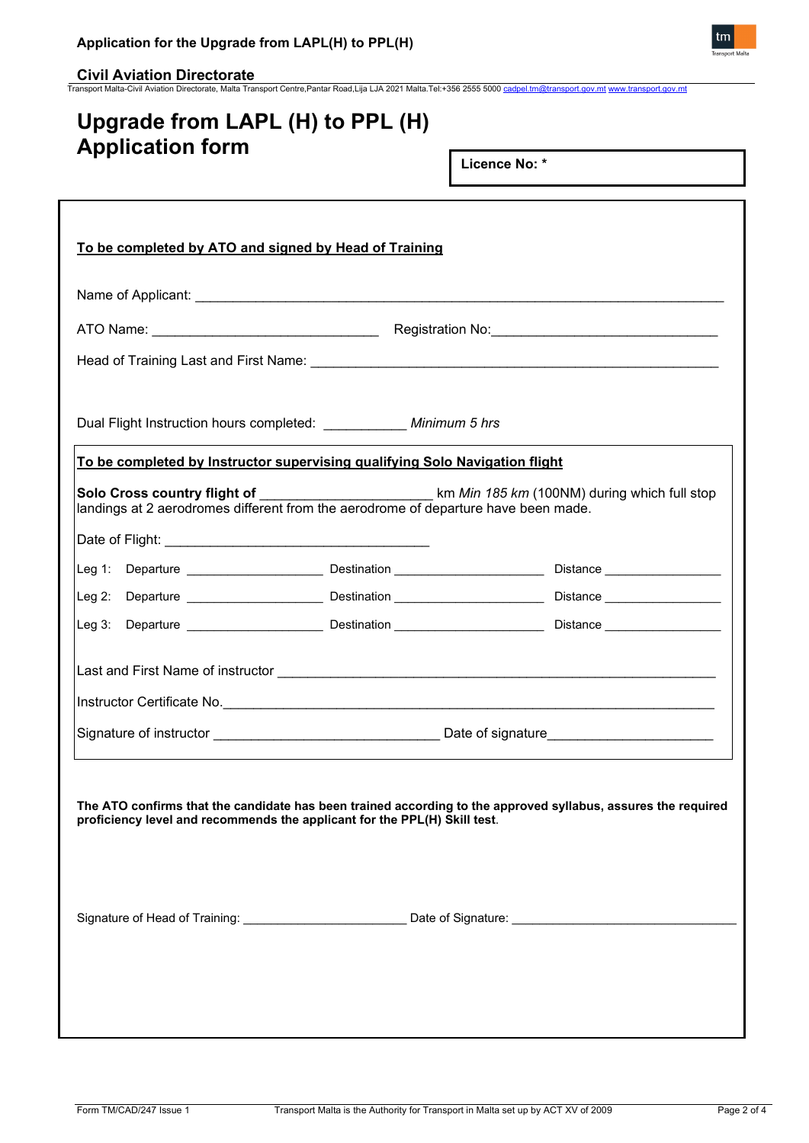**\_Civil Aviation Directorate**<br>Transport Malta-Civil Aviation Directorate, Malta Transport Centre,Pantar Road,Lija LJA 2021 Malta.Tel:+356 2555 5000 <u>[cadpel.tm@transport.gov.mt](mailto:cadpel.tm@transport.gov.mt) www.transport.gov.m</u>

# **Upgrade from LAPL (H) to PPL (H) Application form**

**Licence No: \***

| Dual Flight Instruction hours completed: ___________ Minimum 5 hrs                 |  |                                                                                                                                                                                            |
|------------------------------------------------------------------------------------|--|--------------------------------------------------------------------------------------------------------------------------------------------------------------------------------------------|
| To be completed by Instructor supervising qualifying Solo Navigation flight        |  |                                                                                                                                                                                            |
| landings at 2 aerodromes different from the aerodrome of departure have been made. |  | Solo Cross country flight of ________________________________km Min 185 km (100NM) during which full stop                                                                                  |
|                                                                                    |  |                                                                                                                                                                                            |
|                                                                                    |  |                                                                                                                                                                                            |
|                                                                                    |  |                                                                                                                                                                                            |
|                                                                                    |  |                                                                                                                                                                                            |
|                                                                                    |  |                                                                                                                                                                                            |
|                                                                                    |  |                                                                                                                                                                                            |
|                                                                                    |  |                                                                                                                                                                                            |
|                                                                                    |  |                                                                                                                                                                                            |
|                                                                                    |  | The ATO confirms that the candidate has been trained according to the approved syllabus, assures the required<br>proficiency level and recommends the applicant for the PPL(H) Skill test. |
|                                                                                    |  |                                                                                                                                                                                            |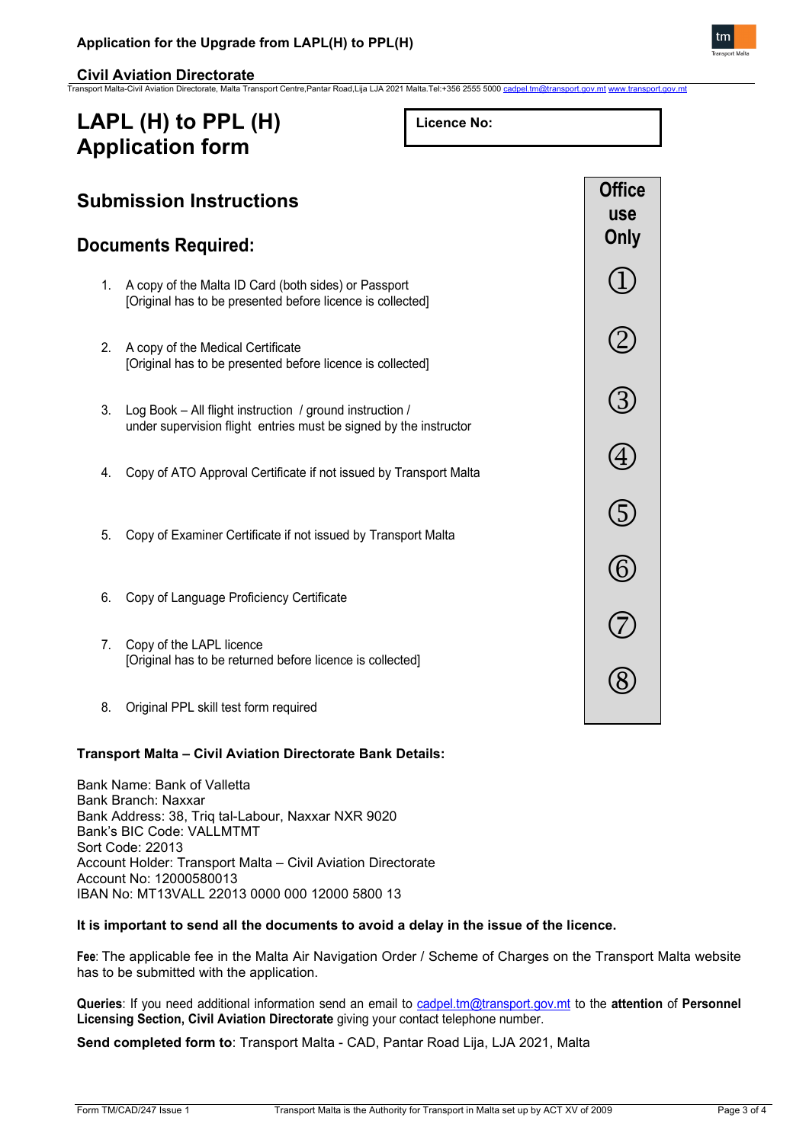**Civil Aviation Directorate** Transport Malta-Civil Aviation Directorate, Malta Transport Centre,Pantar Road,Lija LJA 2021 Malta.Tel:+356 2555 5000 [cadpel.tm@transport.gov.mt](mailto:cadpel.tm@transport.gov.mt) [www.transport.gov.mt](http://www.transport.gov.mt/)

## **LAPL (H) to PPL (H) Application form**

**Licence No:** 



## **Transport Malta – Civil Aviation Directorate Bank Details:**

Bank Name: Bank of Valletta Bank Branch: Naxxar Bank Address: 38, Triq tal-Labour, Naxxar NXR 9020 Bank's BIC Code: VALLMTMT Sort Code: 22013 Account Holder: Transport Malta – Civil Aviation Directorate Account No: 12000580013 IBAN No: MT13VALL 22013 0000 000 12000 5800 13

### **It is important to send all the documents to avoid a delay in the issue of the licence.**

**Fee**: The applicable fee in the Malta Air Navigation Order / Scheme of Charges on the Transport Malta website has to be submitted with the application.

**Queries**: If you need additional information send an email to [cadpel.tm@transport.gov.mt](mailto:cadpel.tm@transport.gov.mt) to the **attention** of **Personnel Licensing Section, Civil Aviation Directorate** giving your contact telephone number.

**Send completed form to**: Transport Malta - CAD, Pantar Road Lija, LJA 2021, Malta